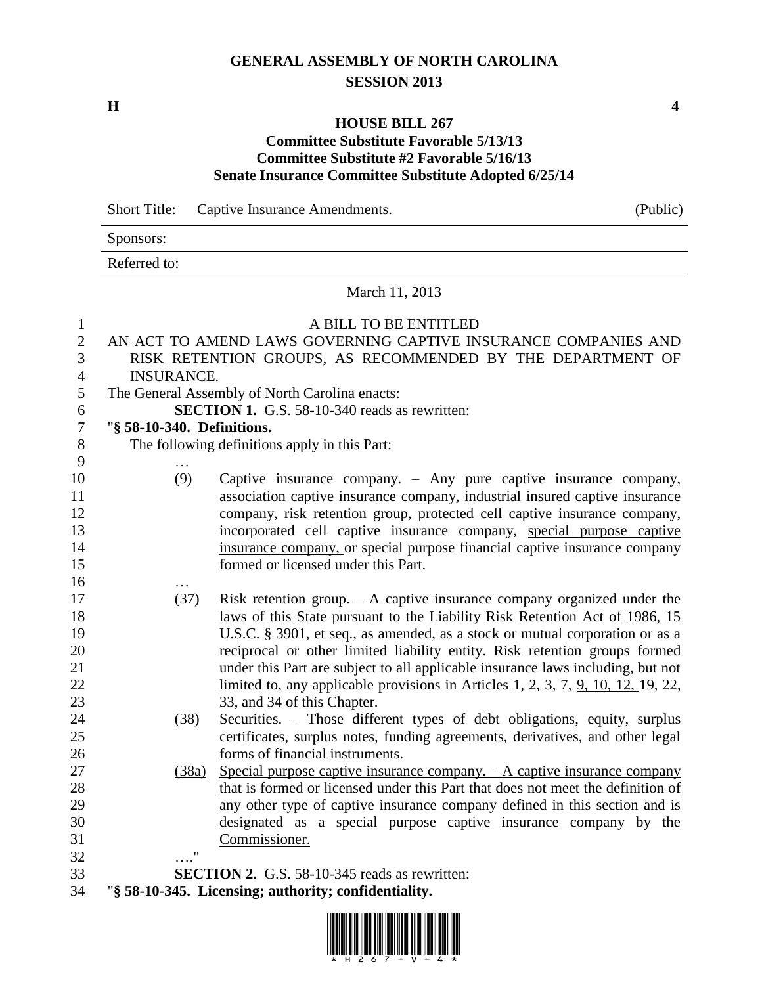# **GENERAL ASSEMBLY OF NORTH CAROLINA SESSION 2013**

**H 4**

Sponsors:

#### **HOUSE BILL 267 Committee Substitute Favorable 5/13/13 Committee Substitute #2 Favorable 5/16/13 Senate Insurance Committee Substitute Adopted 6/25/14**

Short Title: Captive Insurance Amendments. (Public)

|                                                     | Referred to:                                         |                                                                                                                                                                                                                                                                                                     |  |
|-----------------------------------------------------|------------------------------------------------------|-----------------------------------------------------------------------------------------------------------------------------------------------------------------------------------------------------------------------------------------------------------------------------------------------------|--|
|                                                     | March 11, 2013                                       |                                                                                                                                                                                                                                                                                                     |  |
| $\mathbf{1}$<br>$\mathbf{2}$<br>3<br>$\overline{4}$ | <b>INSURANCE.</b>                                    | A BILL TO BE ENTITLED<br>AN ACT TO AMEND LAWS GOVERNING CAPTIVE INSURANCE COMPANIES AND<br>RISK RETENTION GROUPS, AS RECOMMENDED BY THE DEPARTMENT OF                                                                                                                                               |  |
| 5                                                   |                                                      | The General Assembly of North Carolina enacts:                                                                                                                                                                                                                                                      |  |
| 6                                                   |                                                      | <b>SECTION 1.</b> G.S. 58-10-340 reads as rewritten:                                                                                                                                                                                                                                                |  |
| $\boldsymbol{7}$                                    | "§ 58-10-340. Definitions.                           |                                                                                                                                                                                                                                                                                                     |  |
| $8\,$                                               |                                                      | The following definitions apply in this Part:                                                                                                                                                                                                                                                       |  |
| 9                                                   |                                                      |                                                                                                                                                                                                                                                                                                     |  |
| 10<br>11<br>12<br>13                                | (9)                                                  | Captive insurance company. - Any pure captive insurance company,<br>association captive insurance company, industrial insured captive insurance<br>company, risk retention group, protected cell captive insurance company,<br>incorporated cell captive insurance company, special purpose captive |  |
| 14<br>15                                            |                                                      | insurance company, or special purpose financial captive insurance company<br>formed or licensed under this Part.                                                                                                                                                                                    |  |
| 16<br>17                                            | (37)                                                 | Risk retention group. $- A$ captive insurance company organized under the                                                                                                                                                                                                                           |  |
| 18<br>19                                            |                                                      | laws of this State pursuant to the Liability Risk Retention Act of 1986, 15<br>U.S.C. § 3901, et seq., as amended, as a stock or mutual corporation or as a                                                                                                                                         |  |
| 20                                                  |                                                      | reciprocal or other limited liability entity. Risk retention groups formed                                                                                                                                                                                                                          |  |
| 21                                                  |                                                      | under this Part are subject to all applicable insurance laws including, but not                                                                                                                                                                                                                     |  |
| 22                                                  |                                                      | limited to, any applicable provisions in Articles 1, 2, 3, 7, $9$ , 10, 12, 19, 22,                                                                                                                                                                                                                 |  |
| 23                                                  |                                                      | 33, and 34 of this Chapter.                                                                                                                                                                                                                                                                         |  |
| 24                                                  | (38)                                                 | Securities. - Those different types of debt obligations, equity, surplus                                                                                                                                                                                                                            |  |
| 25                                                  |                                                      | certificates, surplus notes, funding agreements, derivatives, and other legal                                                                                                                                                                                                                       |  |
| 26                                                  |                                                      | forms of financial instruments.                                                                                                                                                                                                                                                                     |  |
| 27                                                  | (38a)                                                | Special purpose captive insurance company. $- A$ captive insurance company                                                                                                                                                                                                                          |  |
| 28                                                  |                                                      | that is formed or licensed under this Part that does not meet the definition of                                                                                                                                                                                                                     |  |
| 29                                                  |                                                      | any other type of captive insurance company defined in this section and is                                                                                                                                                                                                                          |  |
| 30                                                  |                                                      | designated as a special purpose captive insurance company by the                                                                                                                                                                                                                                    |  |
| 31                                                  |                                                      | Commissioner.                                                                                                                                                                                                                                                                                       |  |
| 32                                                  | $\pmb{\mathsf{H}}$                                   |                                                                                                                                                                                                                                                                                                     |  |
| 33                                                  |                                                      | <b>SECTION 2.</b> G.S. 58-10-345 reads as rewritten:                                                                                                                                                                                                                                                |  |
| 34                                                  | "§ 58-10-345. Licensing; authority; confidentiality. |                                                                                                                                                                                                                                                                                                     |  |

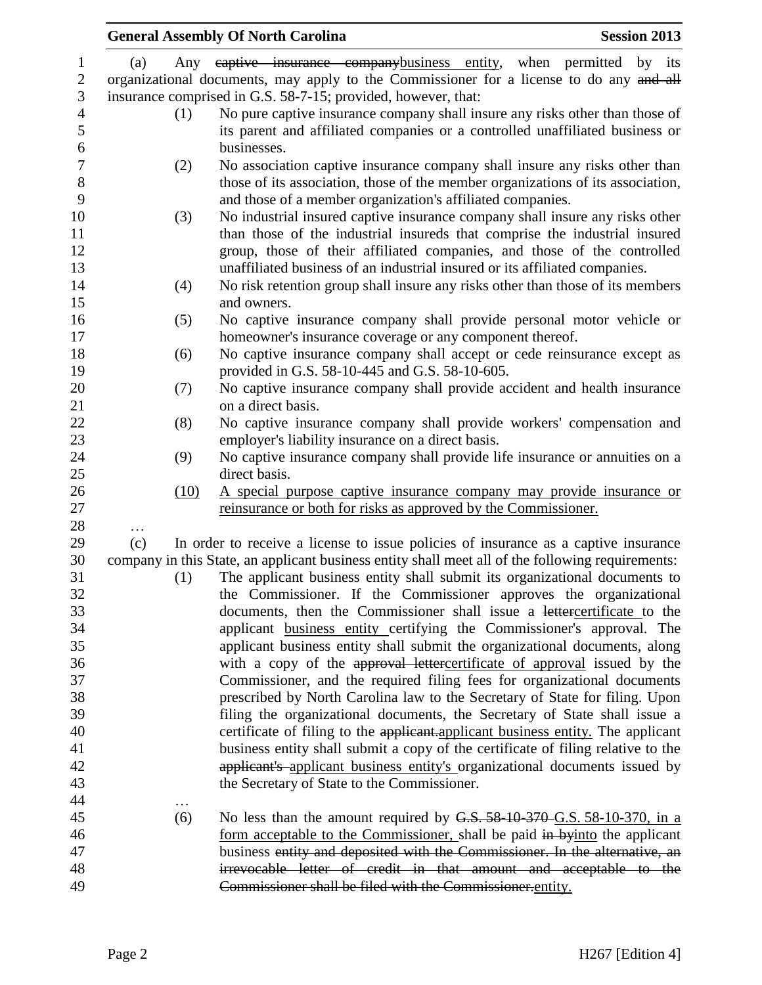|                   |      | <b>General Assembly Of North Carolina</b>                                                                                                                    | <b>Session 2013</b> |
|-------------------|------|--------------------------------------------------------------------------------------------------------------------------------------------------------------|---------------------|
| $\mathbf{1}$      | (a)  | Any eaptive insurance companybusiness entity, when permitted                                                                                                 | by<br>its           |
| $\mathbf{2}$<br>3 |      | organizational documents, may apply to the Commissioner for a license to do any and all<br>insurance comprised in G.S. 58-7-15; provided, however, that:     |                     |
| $\overline{4}$    |      |                                                                                                                                                              |                     |
| 5                 | (1)  | No pure captive insurance company shall insure any risks other than those of<br>its parent and affiliated companies or a controlled unaffiliated business or |                     |
| 6<br>$\tau$       |      | businesses.                                                                                                                                                  |                     |
| $\,8\,$           | (2)  | No association captive insurance company shall insure any risks other than                                                                                   |                     |
| 9                 |      | those of its association, those of the member organizations of its association,<br>and those of a member organization's affiliated companies.                |                     |
| 10                | (3)  | No industrial insured captive insurance company shall insure any risks other                                                                                 |                     |
| 11                |      | than those of the industrial insureds that comprise the industrial insured                                                                                   |                     |
| 12                |      | group, those of their affiliated companies, and those of the controlled                                                                                      |                     |
| 13                |      | unaffiliated business of an industrial insured or its affiliated companies.                                                                                  |                     |
| 14<br>15          | (4)  | No risk retention group shall insure any risks other than those of its members<br>and owners.                                                                |                     |
| 16                | (5)  | No captive insurance company shall provide personal motor vehicle or                                                                                         |                     |
| 17                |      | homeowner's insurance coverage or any component thereof.                                                                                                     |                     |
| 18                | (6)  | No captive insurance company shall accept or cede reinsurance except as                                                                                      |                     |
| 19                |      | provided in G.S. 58-10-445 and G.S. 58-10-605.                                                                                                               |                     |
| 20                | (7)  | No captive insurance company shall provide accident and health insurance                                                                                     |                     |
| 21                |      | on a direct basis.                                                                                                                                           |                     |
| 22                | (8)  | No captive insurance company shall provide workers' compensation and                                                                                         |                     |
| 23                |      | employer's liability insurance on a direct basis.                                                                                                            |                     |
| 24                | (9)  | No captive insurance company shall provide life insurance or annuities on a                                                                                  |                     |
| 25                |      | direct basis.                                                                                                                                                |                     |
| 26                | (10) | A special purpose captive insurance company may provide insurance or                                                                                         |                     |
| 27                |      | reinsurance or both for risks as approved by the Commissioner.                                                                                               |                     |
| 28                |      |                                                                                                                                                              |                     |
| 29                | (c)  | In order to receive a license to issue policies of insurance as a captive insurance                                                                          |                     |
| 30                |      | company in this State, an applicant business entity shall meet all of the following requirements:                                                            |                     |
| 31                | (1)  | The applicant business entity shall submit its organizational documents to                                                                                   |                     |
| 32                |      | the Commissioner. If the Commissioner approves the organizational                                                                                            |                     |
| 33                |      | documents, then the Commissioner shall issue a lettercertificate to the                                                                                      |                     |
| 34                |      | applicant business entity certifying the Commissioner's approval. The                                                                                        |                     |
| 35                |      | applicant business entity shall submit the organizational documents, along                                                                                   |                     |
| 36                |      | with a copy of the approval lettercertificate of approval issued by the                                                                                      |                     |
| 37                |      | Commissioner, and the required filing fees for organizational documents                                                                                      |                     |
| 38                |      | prescribed by North Carolina law to the Secretary of State for filing. Upon                                                                                  |                     |
| 39                |      | filing the organizational documents, the Secretary of State shall issue a                                                                                    |                     |
| 40                |      | certificate of filing to the applicant applicant business entity. The applicant                                                                              |                     |
| 41                |      | business entity shall submit a copy of the certificate of filing relative to the                                                                             |                     |
| 42                |      | applicant's applicant business entity's organizational documents issued by                                                                                   |                     |
| 43                |      | the Secretary of State to the Commissioner.                                                                                                                  |                     |
| 44                |      |                                                                                                                                                              |                     |
| 45                | (6)  | No less than the amount required by G.S. 58-10-370-G.S. 58-10-370, in a                                                                                      |                     |
| 46                |      | form acceptable to the Commissioner, shall be paid in byinto the applicant                                                                                   |                     |
| 47                |      | business entity and deposited with the Commissioner. In the alternative, an                                                                                  |                     |
| 48                |      | irrevocable letter of credit in that amount and acceptable to the                                                                                            |                     |
| 49                |      | Commissioner shall be filed with the Commissioner.entity.                                                                                                    |                     |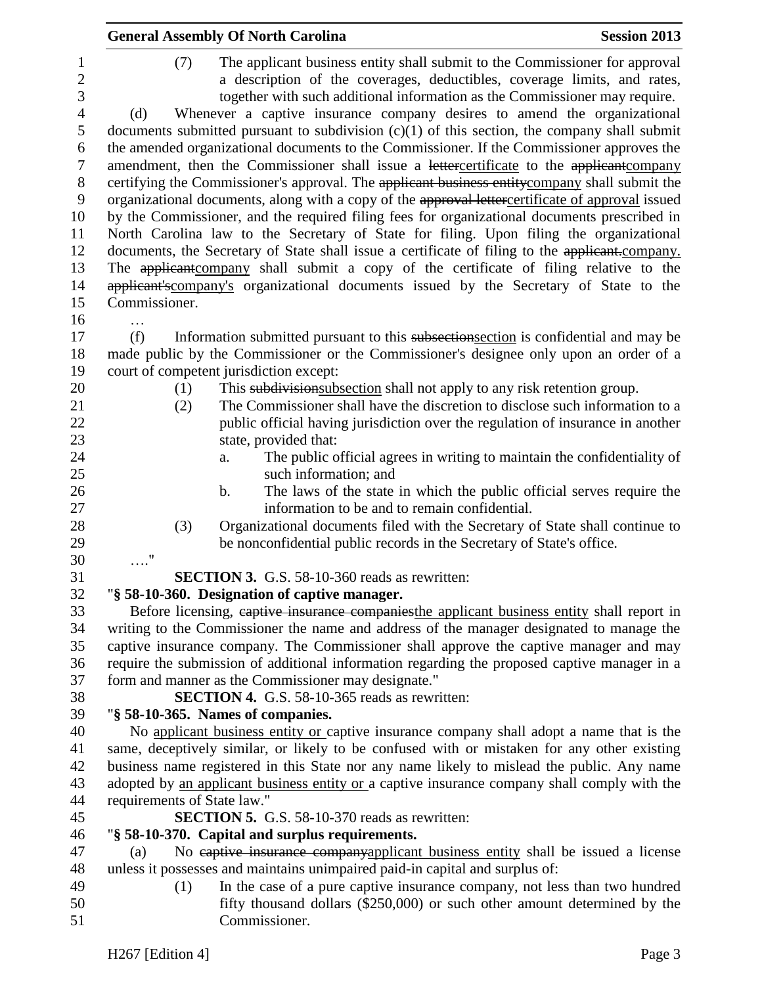|                                                                                                                      | <b>General Assembly Of North Carolina</b><br><b>Session 2013</b>                                                                                                                                                                                                                                                                                                                                                                                                                                                                                                                                                                                                                                                                                                                                                                                                                                                                                                                                                                                                                                                                                                                                                                                                                                                                     |
|----------------------------------------------------------------------------------------------------------------------|--------------------------------------------------------------------------------------------------------------------------------------------------------------------------------------------------------------------------------------------------------------------------------------------------------------------------------------------------------------------------------------------------------------------------------------------------------------------------------------------------------------------------------------------------------------------------------------------------------------------------------------------------------------------------------------------------------------------------------------------------------------------------------------------------------------------------------------------------------------------------------------------------------------------------------------------------------------------------------------------------------------------------------------------------------------------------------------------------------------------------------------------------------------------------------------------------------------------------------------------------------------------------------------------------------------------------------------|
| $\mathbf{1}$<br>$\mathbf{2}$<br>3<br>$\overline{4}$<br>5<br>6<br>7<br>$8\,$<br>9<br>10<br>11<br>12<br>13<br>14<br>15 | The applicant business entity shall submit to the Commissioner for approval<br>(7)<br>a description of the coverages, deductibles, coverage limits, and rates,<br>together with such additional information as the Commissioner may require.<br>Whenever a captive insurance company desires to amend the organizational<br>(d)<br>documents submitted pursuant to subdivision $(c)(1)$ of this section, the company shall submit<br>the amended organizational documents to the Commissioner. If the Commissioner approves the<br>amendment, then the Commissioner shall issue a lettercertificate to the applicant company<br>certifying the Commissioner's approval. The applicant business entitycompany shall submit the<br>organizational documents, along with a copy of the approval lettercertificate of approval issued<br>by the Commissioner, and the required filing fees for organizational documents prescribed in<br>North Carolina law to the Secretary of State for filing. Upon filing the organizational<br>documents, the Secretary of State shall issue a certificate of filing to the applicant-company.<br>The applicant company shall submit a copy of the certificate of filing relative to the<br>applicant's company's organizational documents issued by the Secretary of State to the<br>Commissioner. |
| 16                                                                                                                   |                                                                                                                                                                                                                                                                                                                                                                                                                                                                                                                                                                                                                                                                                                                                                                                                                                                                                                                                                                                                                                                                                                                                                                                                                                                                                                                                      |
| 17<br>18<br>19<br>20<br>21<br>22<br>23                                                                               | (f)<br>Information submitted pursuant to this subsection section is confidential and may be<br>made public by the Commissioner or the Commissioner's designee only upon an order of a<br>court of competent jurisdiction except:<br>This subdivisionsubsection shall not apply to any risk retention group.<br>(1)<br>The Commissioner shall have the discretion to disclose such information to a<br>(2)<br>public official having jurisdiction over the regulation of insurance in another<br>state, provided that:                                                                                                                                                                                                                                                                                                                                                                                                                                                                                                                                                                                                                                                                                                                                                                                                                |
| 24                                                                                                                   | The public official agrees in writing to maintain the confidentiality of<br>a.                                                                                                                                                                                                                                                                                                                                                                                                                                                                                                                                                                                                                                                                                                                                                                                                                                                                                                                                                                                                                                                                                                                                                                                                                                                       |
| 25                                                                                                                   | such information; and                                                                                                                                                                                                                                                                                                                                                                                                                                                                                                                                                                                                                                                                                                                                                                                                                                                                                                                                                                                                                                                                                                                                                                                                                                                                                                                |
| 26                                                                                                                   | The laws of the state in which the public official serves require the<br>$\mathbf b$ .                                                                                                                                                                                                                                                                                                                                                                                                                                                                                                                                                                                                                                                                                                                                                                                                                                                                                                                                                                                                                                                                                                                                                                                                                                               |
| 27                                                                                                                   | information to be and to remain confidential.                                                                                                                                                                                                                                                                                                                                                                                                                                                                                                                                                                                                                                                                                                                                                                                                                                                                                                                                                                                                                                                                                                                                                                                                                                                                                        |
| 28                                                                                                                   | Organizational documents filed with the Secretary of State shall continue to<br>(3)                                                                                                                                                                                                                                                                                                                                                                                                                                                                                                                                                                                                                                                                                                                                                                                                                                                                                                                                                                                                                                                                                                                                                                                                                                                  |
| 29                                                                                                                   | be nonconfidential public records in the Secretary of State's office.                                                                                                                                                                                                                                                                                                                                                                                                                                                                                                                                                                                                                                                                                                                                                                                                                                                                                                                                                                                                                                                                                                                                                                                                                                                                |
| 30                                                                                                                   | $\ldots$ ."                                                                                                                                                                                                                                                                                                                                                                                                                                                                                                                                                                                                                                                                                                                                                                                                                                                                                                                                                                                                                                                                                                                                                                                                                                                                                                                          |
| 31<br>32                                                                                                             | <b>SECTION 3.</b> G.S. 58-10-360 reads as rewritten:                                                                                                                                                                                                                                                                                                                                                                                                                                                                                                                                                                                                                                                                                                                                                                                                                                                                                                                                                                                                                                                                                                                                                                                                                                                                                 |
| 33                                                                                                                   | "§ 58-10-360. Designation of captive manager.<br>Before licensing, eaptive insurance companies the applicant business entity shall report in                                                                                                                                                                                                                                                                                                                                                                                                                                                                                                                                                                                                                                                                                                                                                                                                                                                                                                                                                                                                                                                                                                                                                                                         |
| 34                                                                                                                   | writing to the Commissioner the name and address of the manager designated to manage the                                                                                                                                                                                                                                                                                                                                                                                                                                                                                                                                                                                                                                                                                                                                                                                                                                                                                                                                                                                                                                                                                                                                                                                                                                             |
| 35                                                                                                                   | captive insurance company. The Commissioner shall approve the captive manager and may                                                                                                                                                                                                                                                                                                                                                                                                                                                                                                                                                                                                                                                                                                                                                                                                                                                                                                                                                                                                                                                                                                                                                                                                                                                |
| 36                                                                                                                   | require the submission of additional information regarding the proposed captive manager in a                                                                                                                                                                                                                                                                                                                                                                                                                                                                                                                                                                                                                                                                                                                                                                                                                                                                                                                                                                                                                                                                                                                                                                                                                                         |
| 37                                                                                                                   | form and manner as the Commissioner may designate."                                                                                                                                                                                                                                                                                                                                                                                                                                                                                                                                                                                                                                                                                                                                                                                                                                                                                                                                                                                                                                                                                                                                                                                                                                                                                  |
| 38                                                                                                                   | <b>SECTION 4.</b> G.S. 58-10-365 reads as rewritten:                                                                                                                                                                                                                                                                                                                                                                                                                                                                                                                                                                                                                                                                                                                                                                                                                                                                                                                                                                                                                                                                                                                                                                                                                                                                                 |
| 39                                                                                                                   | "§ 58-10-365. Names of companies.                                                                                                                                                                                                                                                                                                                                                                                                                                                                                                                                                                                                                                                                                                                                                                                                                                                                                                                                                                                                                                                                                                                                                                                                                                                                                                    |
| 40                                                                                                                   | No applicant business entity or captive insurance company shall adopt a name that is the                                                                                                                                                                                                                                                                                                                                                                                                                                                                                                                                                                                                                                                                                                                                                                                                                                                                                                                                                                                                                                                                                                                                                                                                                                             |
| 41                                                                                                                   | same, deceptively similar, or likely to be confused with or mistaken for any other existing                                                                                                                                                                                                                                                                                                                                                                                                                                                                                                                                                                                                                                                                                                                                                                                                                                                                                                                                                                                                                                                                                                                                                                                                                                          |
| 42                                                                                                                   | business name registered in this State nor any name likely to mislead the public. Any name                                                                                                                                                                                                                                                                                                                                                                                                                                                                                                                                                                                                                                                                                                                                                                                                                                                                                                                                                                                                                                                                                                                                                                                                                                           |
| 43                                                                                                                   | adopted by an applicant business entity or a captive insurance company shall comply with the                                                                                                                                                                                                                                                                                                                                                                                                                                                                                                                                                                                                                                                                                                                                                                                                                                                                                                                                                                                                                                                                                                                                                                                                                                         |
| 44                                                                                                                   | requirements of State law."                                                                                                                                                                                                                                                                                                                                                                                                                                                                                                                                                                                                                                                                                                                                                                                                                                                                                                                                                                                                                                                                                                                                                                                                                                                                                                          |
| 45<br>46                                                                                                             | <b>SECTION 5.</b> G.S. 58-10-370 reads as rewritten:<br>"§ 58-10-370. Capital and surplus requirements.                                                                                                                                                                                                                                                                                                                                                                                                                                                                                                                                                                                                                                                                                                                                                                                                                                                                                                                                                                                                                                                                                                                                                                                                                              |
| 47                                                                                                                   | No captive insurance companyapplicant business entity shall be issued a license                                                                                                                                                                                                                                                                                                                                                                                                                                                                                                                                                                                                                                                                                                                                                                                                                                                                                                                                                                                                                                                                                                                                                                                                                                                      |
| 48                                                                                                                   | (a)<br>unless it possesses and maintains unimpaired paid-in capital and surplus of:                                                                                                                                                                                                                                                                                                                                                                                                                                                                                                                                                                                                                                                                                                                                                                                                                                                                                                                                                                                                                                                                                                                                                                                                                                                  |
| 49                                                                                                                   | In the case of a pure captive insurance company, not less than two hundred<br>(1)                                                                                                                                                                                                                                                                                                                                                                                                                                                                                                                                                                                                                                                                                                                                                                                                                                                                                                                                                                                                                                                                                                                                                                                                                                                    |
| 50                                                                                                                   | fifty thousand dollars (\$250,000) or such other amount determined by the                                                                                                                                                                                                                                                                                                                                                                                                                                                                                                                                                                                                                                                                                                                                                                                                                                                                                                                                                                                                                                                                                                                                                                                                                                                            |
| 51                                                                                                                   | Commissioner.                                                                                                                                                                                                                                                                                                                                                                                                                                                                                                                                                                                                                                                                                                                                                                                                                                                                                                                                                                                                                                                                                                                                                                                                                                                                                                                        |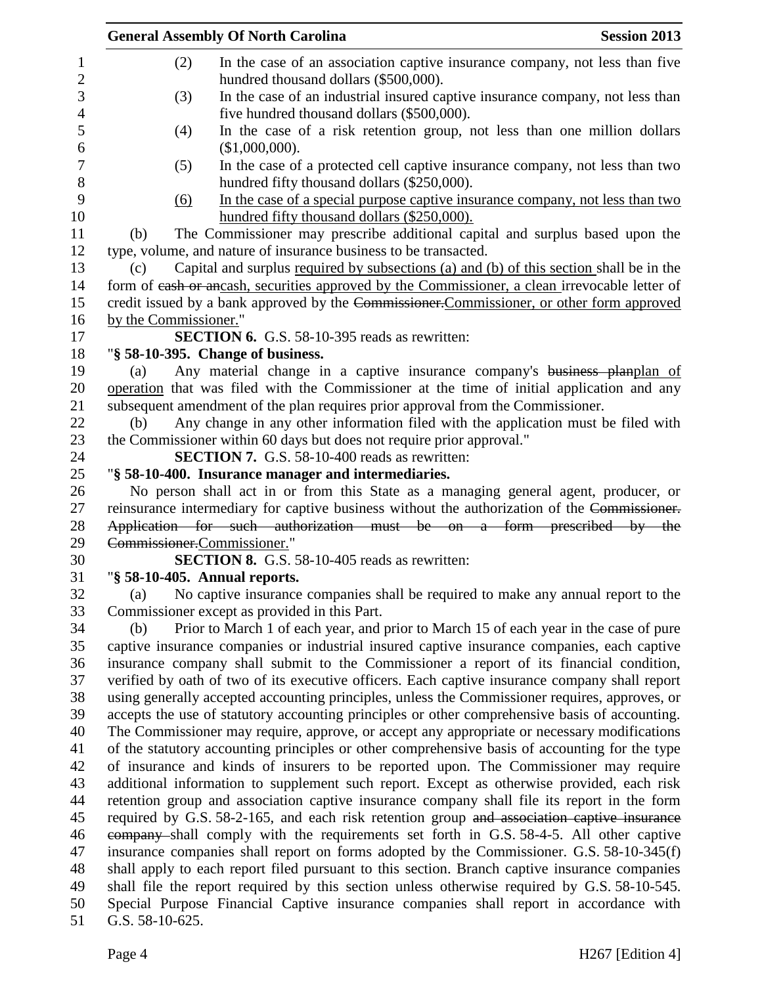| <b>Session 2013</b><br><b>General Assembly Of North Carolina</b>                               |
|------------------------------------------------------------------------------------------------|
| (2)<br>In the case of an association captive insurance company, not less than five             |
| hundred thousand dollars (\$500,000).                                                          |
| In the case of an industrial insured captive insurance company, not less than<br>(3)           |
| five hundred thousand dollars (\$500,000).                                                     |
| In the case of a risk retention group, not less than one million dollars<br>(4)                |
| (\$1,000,000).                                                                                 |
| In the case of a protected cell captive insurance company, not less than two<br>(5)            |
| hundred fifty thousand dollars (\$250,000).                                                    |
| In the case of a special purpose captive insurance company, not less than two<br><u>(6)</u>    |
| hundred fifty thousand dollars (\$250,000).                                                    |
| The Commissioner may prescribe additional capital and surplus based upon the<br>(b)            |
| type, volume, and nature of insurance business to be transacted.                               |
| Capital and surplus required by subsections (a) and (b) of this section shall be in the<br>(c) |
| form of eash or ancash, securities approved by the Commissioner, a clean irrevocable letter of |
| credit issued by a bank approved by the Commissioner. Commissioner, or other form approved     |
| by the Commissioner."                                                                          |
| <b>SECTION 6.</b> G.S. 58-10-395 reads as rewritten:                                           |
| "§ 58-10-395. Change of business.                                                              |
| Any material change in a captive insurance company's business planplan of<br>(a)               |
| operation that was filed with the Commissioner at the time of initial application and any      |
| subsequent amendment of the plan requires prior approval from the Commissioner.                |
| Any change in any other information filed with the application must be filed with<br>(b)       |
| the Commissioner within 60 days but does not require prior approval."                          |
| <b>SECTION 7.</b> G.S. 58-10-400 reads as rewritten:                                           |
| "§ 58-10-400. Insurance manager and intermediaries.                                            |
| No person shall act in or from this State as a managing general agent, producer, or            |
| reinsurance intermediary for captive business without the authorization of the Commissioner.   |
| Application for such authorization must be on a form prescribed by the                         |
| Commissioner.Commissioner."                                                                    |
| <b>SECTION 8.</b> G.S. 58-10-405 reads as rewritten:                                           |
| "§ 58-10-405. Annual reports.                                                                  |
| No captive insurance companies shall be required to make any annual report to the<br>(a)       |
| Commissioner except as provided in this Part.                                                  |
| Prior to March 1 of each year, and prior to March 15 of each year in the case of pure<br>(b)   |
| captive insurance companies or industrial insured captive insurance companies, each captive    |
| insurance company shall submit to the Commissioner a report of its financial condition,        |
| verified by oath of two of its executive officers. Each captive insurance company shall report |
| using generally accepted accounting principles, unless the Commissioner requires, approves, or |
| accepts the use of statutory accounting principles or other comprehensive basis of accounting. |
| The Commissioner may require, approve, or accept any appropriate or necessary modifications    |
| of the statutory accounting principles or other comprehensive basis of accounting for the type |
| of insurance and kinds of insurers to be reported upon. The Commissioner may require           |
| additional information to supplement such report. Except as otherwise provided, each risk      |
| retention group and association captive insurance company shall file its report in the form    |
| required by G.S. 58-2-165, and each risk retention group and association captive insurance     |
| company-shall comply with the requirements set forth in G.S. 58-4-5. All other captive         |
| insurance companies shall report on forms adopted by the Commissioner. G.S. 58-10-345(f)       |
| shall apply to each report filed pursuant to this section. Branch captive insurance companies  |
| shall file the report required by this section unless otherwise required by G.S. 58-10-545.    |
| Special Purpose Financial Captive insurance companies shall report in accordance with          |
| G.S. 58-10-625.                                                                                |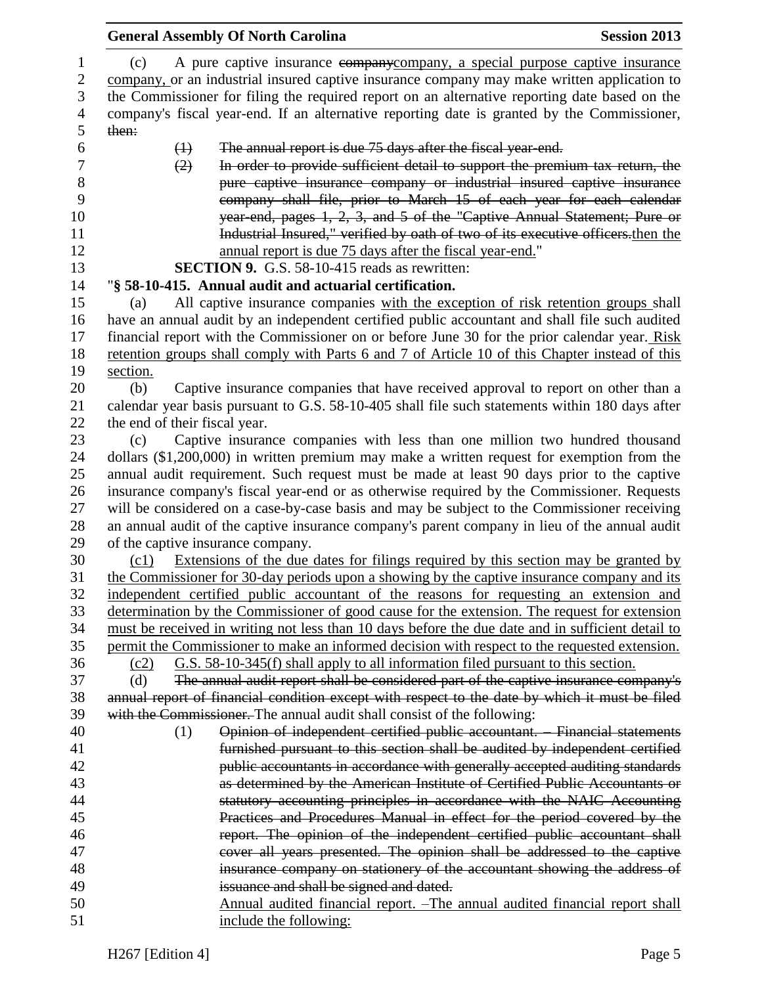|             | <b>General Assembly Of North Carolina</b>                                                                                                                                             | <b>Session 2013</b> |
|-------------|---------------------------------------------------------------------------------------------------------------------------------------------------------------------------------------|---------------------|
| (c)         | A pure captive insurance company company, a special purpose captive insurance                                                                                                         |                     |
|             | company, or an industrial insured captive insurance company may make written application to                                                                                           |                     |
|             | the Commissioner for filing the required report on an alternative reporting date based on the                                                                                         |                     |
|             | company's fiscal year-end. If an alternative reporting date is granted by the Commissioner,                                                                                           |                     |
| then:       |                                                                                                                                                                                       |                     |
|             | The annual report is due 75 days after the fiscal year-end.<br>$\bigoplus$                                                                                                            |                     |
|             | In order to provide sufficient detail to support the premium tax return, the<br>(2)                                                                                                   |                     |
|             | pure captive insurance company or industrial insured captive insurance                                                                                                                |                     |
|             | company shall file, prior to March 15 of each year for each calendar                                                                                                                  |                     |
|             | year end, pages 1, 2, 3, and 5 of the "Captive Annual Statement; Pure or                                                                                                              |                     |
|             | Industrial Insured," verified by oath of two of its executive officers then the                                                                                                       |                     |
|             | annual report is due 75 days after the fiscal year-end."                                                                                                                              |                     |
|             | <b>SECTION 9.</b> G.S. 58-10-415 reads as rewritten:                                                                                                                                  |                     |
|             | "§ 58-10-415. Annual audit and actuarial certification.                                                                                                                               |                     |
| (a)         | All captive insurance companies with the exception of risk retention groups shall                                                                                                     |                     |
|             | have an annual audit by an independent certified public accountant and shall file such audited                                                                                        |                     |
|             | financial report with the Commissioner on or before June 30 for the prior calendar year. Risk                                                                                         |                     |
|             | retention groups shall comply with Parts 6 and 7 of Article 10 of this Chapter instead of this                                                                                        |                     |
| section.    |                                                                                                                                                                                       |                     |
| (b)         | Captive insurance companies that have received approval to report on other than a                                                                                                     |                     |
|             | calendar year basis pursuant to G.S. 58-10-405 shall file such statements within 180 days after                                                                                       |                     |
|             | the end of their fiscal year.                                                                                                                                                         |                     |
| (c)         | Captive insurance companies with less than one million two hundred thousand                                                                                                           |                     |
|             | dollars $(\$1,200,000)$ in written premium may make a written request for exemption from the                                                                                          |                     |
|             | annual audit requirement. Such request must be made at least 90 days prior to the captive                                                                                             |                     |
|             | insurance company's fiscal year-end or as otherwise required by the Commissioner. Requests                                                                                            |                     |
|             | will be considered on a case-by-case basis and may be subject to the Commissioner receiving                                                                                           |                     |
|             | an annual audit of the captive insurance company's parent company in lieu of the annual audit                                                                                         |                     |
|             | of the captive insurance company.                                                                                                                                                     |                     |
| (c1)        | Extensions of the due dates for filings required by this section may be granted by                                                                                                    |                     |
|             | the Commissioner for 30-day periods upon a showing by the captive insurance company and its                                                                                           |                     |
|             | independent certified public accountant of the reasons for requesting an extension and                                                                                                |                     |
|             | determination by the Commissioner of good cause for the extension. The request for extension                                                                                          |                     |
|             | must be received in writing not less than 10 days before the due date and in sufficient detail to                                                                                     |                     |
|             | permit the Commissioner to make an informed decision with respect to the requested extension.                                                                                         |                     |
| (c2)<br>(d) | G.S. 58-10-345(f) shall apply to all information filed pursuant to this section.                                                                                                      |                     |
|             | The annual audit report shall be considered part of the captive insurance company's<br>annual report of financial condition except with respect to the date by which it must be filed |                     |
|             | with the Commissioner. The annual audit shall consist of the following:                                                                                                               |                     |
|             | Opinion of independent certified public accountant. - Financial statements<br>(1)                                                                                                     |                     |
|             | furnished pursuant to this section shall be audited by independent certified                                                                                                          |                     |
|             | public accountants in accordance with generally accepted auditing standards                                                                                                           |                     |
|             | as determined by the American Institute of Certified Public Accountants or                                                                                                            |                     |
|             | statutory accounting principles in accordance with the NAIC Accounting                                                                                                                |                     |
|             | Practices and Procedures Manual in effect for the period covered by the                                                                                                               |                     |
|             | report. The opinion of the independent certified public accountant shall                                                                                                              |                     |
|             | cover all years presented. The opinion shall be addressed to the captive                                                                                                              |                     |
|             | insurance company on stationery of the accountant showing the address of                                                                                                              |                     |
|             | issuance and shall be signed and dated.                                                                                                                                               |                     |
|             | Annual audited financial report. -The annual audited financial report shall                                                                                                           |                     |
|             | include the following:                                                                                                                                                                |                     |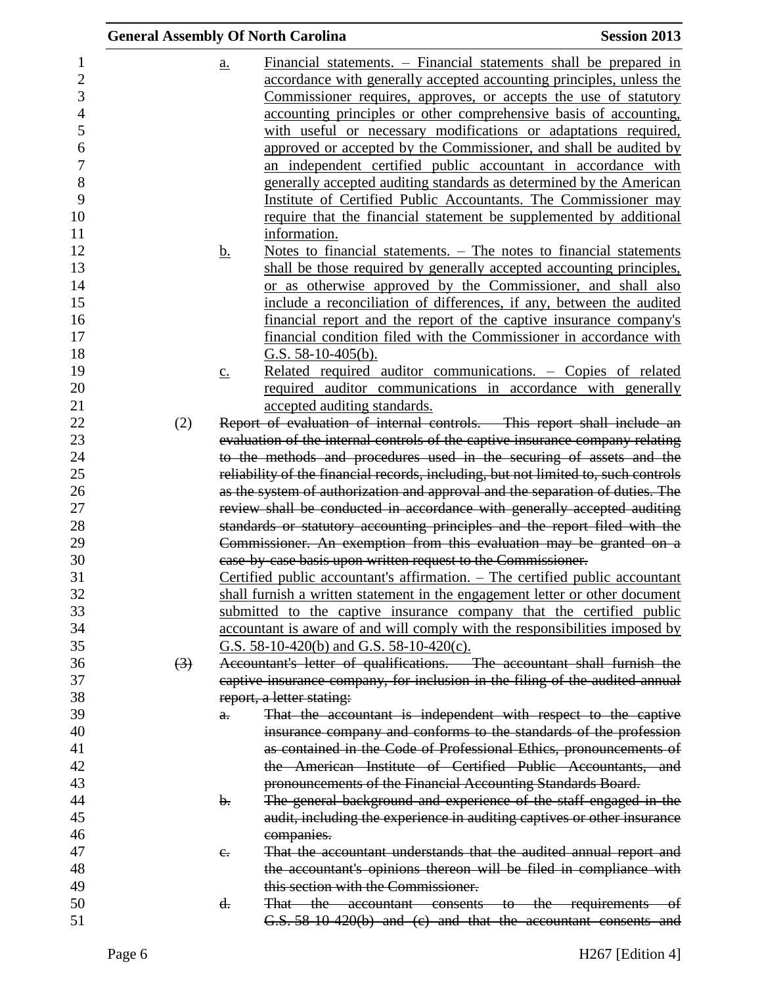|                  |                   | <b>General Assembly Of North Carolina</b>                                     | <b>Session 2013</b>                                                                                                                          |
|------------------|-------------------|-------------------------------------------------------------------------------|----------------------------------------------------------------------------------------------------------------------------------------------|
|                  | $\underline{a}$ . |                                                                               | Financial statements. – Financial statements shall be prepared in                                                                            |
|                  |                   |                                                                               | accordance with generally accepted accounting principles, unless the                                                                         |
|                  |                   |                                                                               | Commissioner requires, approves, or accepts the use of statutory                                                                             |
|                  |                   |                                                                               | accounting principles or other comprehensive basis of accounting,                                                                            |
|                  |                   |                                                                               | with useful or necessary modifications or adaptations required,                                                                              |
|                  |                   |                                                                               | approved or accepted by the Commissioner, and shall be audited by                                                                            |
|                  |                   |                                                                               | an independent certified public accountant in accordance with                                                                                |
|                  |                   |                                                                               | generally accepted auditing standards as determined by the American                                                                          |
|                  |                   |                                                                               | Institute of Certified Public Accountants. The Commissioner may                                                                              |
|                  |                   |                                                                               | require that the financial statement be supplemented by additional                                                                           |
|                  |                   | information.                                                                  |                                                                                                                                              |
|                  | <u>b.</u>         |                                                                               | Notes to financial statements. $-$ The notes to financial statements                                                                         |
|                  |                   |                                                                               | shall be those required by generally accepted accounting principles,                                                                         |
|                  |                   |                                                                               | or as otherwise approved by the Commissioner, and shall also                                                                                 |
|                  |                   |                                                                               | include a reconciliation of differences, if any, between the audited                                                                         |
|                  |                   |                                                                               | <u>financial report and the report of the captive insurance company's</u>                                                                    |
|                  |                   |                                                                               | financial condition filed with the Commissioner in accordance with                                                                           |
|                  |                   | G.S. $58-10-405(b)$ .                                                         |                                                                                                                                              |
|                  | $\underline{c}$ . |                                                                               | Related required auditor communications. - Copies of related                                                                                 |
|                  |                   |                                                                               | required auditor communications in accordance with generally                                                                                 |
|                  |                   | accepted auditing standards.                                                  |                                                                                                                                              |
| (2)              |                   |                                                                               | Report of evaluation of internal controls. This report shall include an                                                                      |
|                  |                   | evaluation of the internal controls of the captive insurance company relating |                                                                                                                                              |
|                  |                   | to the methods and procedures used in the securing of assets and the          |                                                                                                                                              |
|                  |                   |                                                                               | reliability of the financial records, including, but not limited to, such controls                                                           |
|                  |                   | as the system of authorization and approval and the separation of duties. The |                                                                                                                                              |
|                  |                   |                                                                               | review shall be conducted in accordance with generally accepted auditing                                                                     |
|                  |                   |                                                                               | standards or statutory accounting principles and the report filed with the                                                                   |
|                  |                   | Commissioner. An exemption from this evaluation may be granted on a           |                                                                                                                                              |
|                  |                   | case by case basis upon written request to the Commissioner.                  |                                                                                                                                              |
|                  |                   |                                                                               | Certified public accountant's affirmation. - The certified public accountant                                                                 |
|                  |                   |                                                                               | shall furnish a written statement in the engagement letter or other document                                                                 |
|                  |                   |                                                                               | submitted to the captive insurance company that the certified public                                                                         |
|                  |                   |                                                                               | accountant is aware of and will comply with the responsibilities imposed by                                                                  |
|                  |                   | G.S. $58-10-420(b)$ and G.S. $58-10-420(c)$ .                                 |                                                                                                                                              |
| $\left(3\right)$ |                   |                                                                               | Accountant's letter of qualifications. - The accountant shall furnish the                                                                    |
|                  |                   |                                                                               | captive insurance company, for inclusion in the filing of the audited annual                                                                 |
|                  |                   | report, a letter stating:                                                     |                                                                                                                                              |
|                  | $\theta$ .        |                                                                               | That the accountant is independent with respect to the captive                                                                               |
|                  |                   |                                                                               | insurance company and conforms to the standards of the profession<br>as contained in the Code of Professional Ethics, pronouncements of      |
|                  |                   |                                                                               | the American Institute of Certified Public Accountants, and                                                                                  |
|                  |                   |                                                                               |                                                                                                                                              |
|                  | $\mathbf{b}$ .    | pronouncements of the Financial Accounting Standards Board.                   |                                                                                                                                              |
|                  |                   |                                                                               | The general background and experience of the staff engaged in the<br>audit, including the experience in auditing captives or other insurance |
|                  |                   | companies.                                                                    |                                                                                                                                              |
|                  |                   |                                                                               |                                                                                                                                              |
|                  | $e_{\cdot}$       |                                                                               | That the accountant understands that the audited annual report and<br>the accountant's opinions thereon will be filed in compliance with     |
|                  |                   | this section with the Commissioner.                                           |                                                                                                                                              |
|                  | d.                |                                                                               | That the accountant consents to the requirements of                                                                                          |
|                  |                   |                                                                               | G.S. 58-10-420(b) and (c) and that the accountant consents and                                                                               |
|                  |                   |                                                                               |                                                                                                                                              |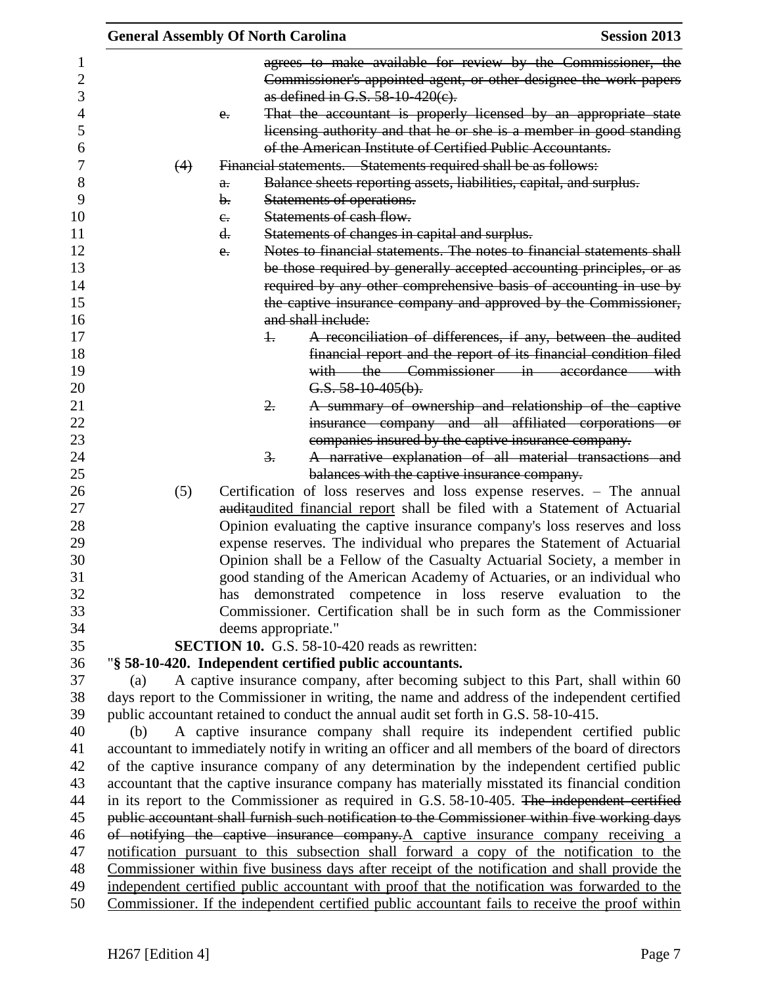| <b>General Assembly Of North Carolina</b> |                                                                                                                                                                                                 | <b>Session 2013</b>                                                                                            |
|-------------------------------------------|-------------------------------------------------------------------------------------------------------------------------------------------------------------------------------------------------|----------------------------------------------------------------------------------------------------------------|
|                                           |                                                                                                                                                                                                 | agrees to make available for review by the Commissioner, the                                                   |
|                                           |                                                                                                                                                                                                 | Commissioner's appointed agent, or other designee the work papers                                              |
|                                           | as defined in G.S. 58-10-420(e).                                                                                                                                                                |                                                                                                                |
| $e_{\cdot}$                               |                                                                                                                                                                                                 | That the accountant is properly licensed by an appropriate state                                               |
|                                           |                                                                                                                                                                                                 | licensing authority and that he or she is a member in good standing                                            |
|                                           | of the American Institute of Certified Public Accountants.                                                                                                                                      |                                                                                                                |
| (4)                                       | Financial statements. Statements required shall be as follows:                                                                                                                                  |                                                                                                                |
| $\theta$ .                                | Balance sheets reporting assets, liabilities, capital, and surplus.                                                                                                                             |                                                                                                                |
| b.                                        | Statements of operations.                                                                                                                                                                       |                                                                                                                |
| $e_{\cdot}$                               | Statements of cash flow.                                                                                                                                                                        |                                                                                                                |
| d.                                        | Statements of changes in capital and surplus.                                                                                                                                                   |                                                                                                                |
| $e_{i}$                                   |                                                                                                                                                                                                 | Notes to financial statements. The notes to financial statements shall                                         |
|                                           |                                                                                                                                                                                                 | be those required by generally accepted accounting principles, or as                                           |
|                                           |                                                                                                                                                                                                 | required by any other comprehensive basis of accounting in use by                                              |
|                                           |                                                                                                                                                                                                 | the captive insurance company and approved by the Commissioner,                                                |
|                                           | and shall include:                                                                                                                                                                              |                                                                                                                |
|                                           | $\pm$                                                                                                                                                                                           | A reconciliation of differences, if any, between the audited                                                   |
|                                           |                                                                                                                                                                                                 | financial report and the report of its financial condition filed                                               |
|                                           |                                                                                                                                                                                                 | with the Commissioner in accordance with                                                                       |
|                                           | $G.S. 58-10-405(b)$ .<br>2.                                                                                                                                                                     |                                                                                                                |
|                                           |                                                                                                                                                                                                 | A summary of ownership and relationship of the captive<br>insurance company and all affiliated corporations or |
|                                           | companies insured by the captive insurance company.                                                                                                                                             |                                                                                                                |
|                                           | $\overline{3}$ .                                                                                                                                                                                | A narrative explanation of all material transactions and                                                       |
|                                           | balances with the captive insurance company.                                                                                                                                                    |                                                                                                                |
| (5)                                       | Certification of loss reserves and loss expense reserves. - The annual                                                                                                                          |                                                                                                                |
|                                           | auditaudited financial report shall be filed with a Statement of Actuarial                                                                                                                      |                                                                                                                |
|                                           | Opinion evaluating the captive insurance company's loss reserves and loss                                                                                                                       |                                                                                                                |
|                                           | expense reserves. The individual who prepares the Statement of Actuarial                                                                                                                        |                                                                                                                |
|                                           | Opinion shall be a Fellow of the Casualty Actuarial Society, a member in                                                                                                                        |                                                                                                                |
|                                           | good standing of the American Academy of Actuaries, or an individual who                                                                                                                        |                                                                                                                |
| has                                       | demonstrated competence in loss reserve evaluation to the                                                                                                                                       |                                                                                                                |
|                                           | Commissioner. Certification shall be in such form as the Commissioner                                                                                                                           |                                                                                                                |
|                                           | deems appropriate."                                                                                                                                                                             |                                                                                                                |
|                                           | <b>SECTION 10.</b> G.S. 58-10-420 reads as rewritten:                                                                                                                                           |                                                                                                                |
|                                           | "§ 58-10-420. Independent certified public accountants.                                                                                                                                         |                                                                                                                |
| (a)                                       | A captive insurance company, after becoming subject to this Part, shall within 60                                                                                                               |                                                                                                                |
|                                           | days report to the Commissioner in writing, the name and address of the independent certified                                                                                                   |                                                                                                                |
|                                           | public accountant retained to conduct the annual audit set forth in G.S. 58-10-415.                                                                                                             |                                                                                                                |
| (b)                                       | A captive insurance company shall require its independent certified public                                                                                                                      |                                                                                                                |
|                                           | accountant to immediately notify in writing an officer and all members of the board of directors                                                                                                |                                                                                                                |
|                                           | of the captive insurance company of any determination by the independent certified public                                                                                                       |                                                                                                                |
|                                           | accountant that the captive insurance company has materially misstated its financial condition<br>in its report to the Commissioner as required in G.S. 58-10-405. The independent certified    |                                                                                                                |
|                                           | public accountant shall furnish such notification to the Commissioner within five working days                                                                                                  |                                                                                                                |
|                                           | of notifying the captive insurance company.A captive insurance company receiving a                                                                                                              |                                                                                                                |
|                                           |                                                                                                                                                                                                 | notification pursuant to this subsection shall forward a copy of the notification to the                       |
|                                           |                                                                                                                                                                                                 |                                                                                                                |
|                                           |                                                                                                                                                                                                 |                                                                                                                |
|                                           | Commissioner within five business days after receipt of the notification and shall provide the<br>independent certified public accountant with proof that the notification was forwarded to the |                                                                                                                |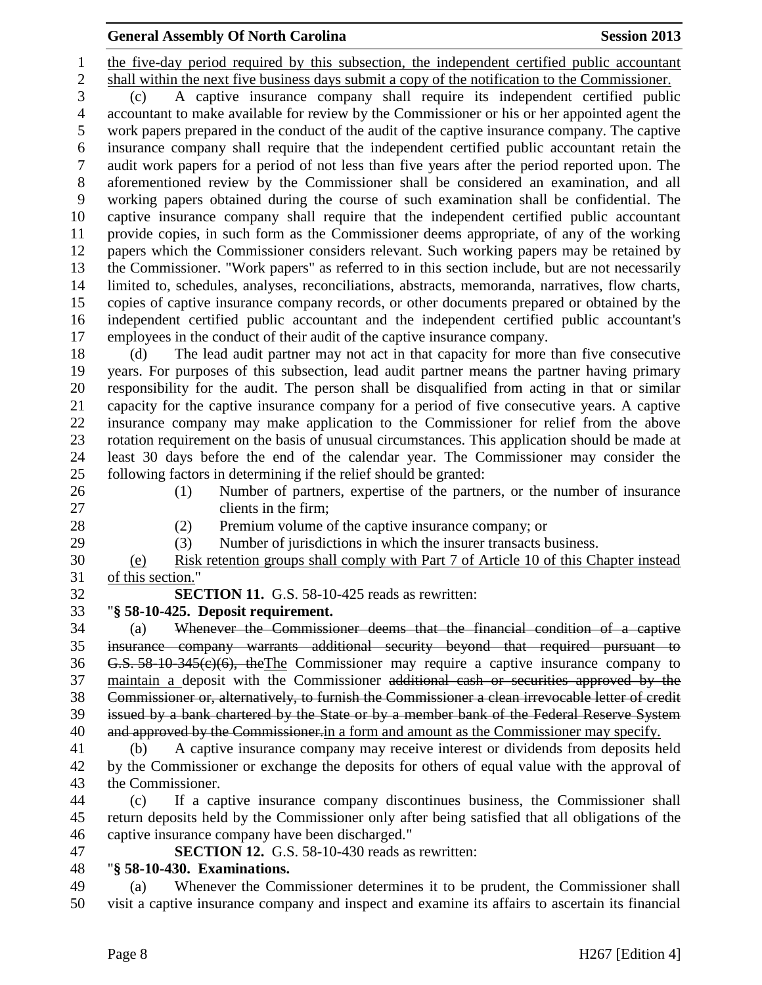the five-day period required by this subsection, the independent certified public accountant shall within the next five business days submit a copy of the notification to the Commissioner. (c) A captive insurance company shall require its independent certified public accountant to make available for review by the Commissioner or his or her appointed agent the work papers prepared in the conduct of the audit of the captive insurance company. The captive insurance company shall require that the independent certified public accountant retain the audit work papers for a period of not less than five years after the period reported upon. The aforementioned review by the Commissioner shall be considered an examination, and all working papers obtained during the course of such examination shall be confidential. The captive insurance company shall require that the independent certified public accountant provide copies, in such form as the Commissioner deems appropriate, of any of the working papers which the Commissioner considers relevant. Such working papers may be retained by the Commissioner. "Work papers" as referred to in this section include, but are not necessarily limited to, schedules, analyses, reconciliations, abstracts, memoranda, narratives, flow charts, copies of captive insurance company records, or other documents prepared or obtained by the independent certified public accountant and the independent certified public accountant's employees in the conduct of their audit of the captive insurance company.

 (d) The lead audit partner may not act in that capacity for more than five consecutive years. For purposes of this subsection, lead audit partner means the partner having primary responsibility for the audit. The person shall be disqualified from acting in that or similar capacity for the captive insurance company for a period of five consecutive years. A captive insurance company may make application to the Commissioner for relief from the above rotation requirement on the basis of unusual circumstances. This application should be made at least 30 days before the end of the calendar year. The Commissioner may consider the following factors in determining if the relief should be granted:

- (1) Number of partners, expertise of the partners, or the number of insurance
- 27 clients in the firm:
- 

(2) Premium volume of the captive insurance company; or

(3) Number of jurisdictions in which the insurer transacts business.

 (e) Risk retention groups shall comply with Part 7 of Article 10 of this Chapter instead of this section."

- **SECTION 11.** G.S. 58-10-425 reads as rewritten:
- "**§ 58-10-425. Deposit requirement.**

 (a) Whenever the Commissioner deems that the financial condition of a captive insurance company warrants additional security beyond that required pursuant to 36 G.S.  $58-10-345(c)(6)$ , the The Commissioner may require a captive insurance company to maintain a deposit with the Commissioner additional cash or securities approved by the Commissioner or, alternatively, to furnish the Commissioner a clean irrevocable letter of credit issued by a bank chartered by the State or by a member bank of the Federal Reserve System 40 and approved by the Commissioner. in a form and amount as the Commissioner may specify.

 (b) A captive insurance company may receive interest or dividends from deposits held by the Commissioner or exchange the deposits for others of equal value with the approval of the Commissioner.

 (c) If a captive insurance company discontinues business, the Commissioner shall return deposits held by the Commissioner only after being satisfied that all obligations of the captive insurance company have been discharged."

**SECTION 12.** G.S. 58-10-430 reads as rewritten:

## "**§ 58-10-430. Examinations.**

 (a) Whenever the Commissioner determines it to be prudent, the Commissioner shall visit a captive insurance company and inspect and examine its affairs to ascertain its financial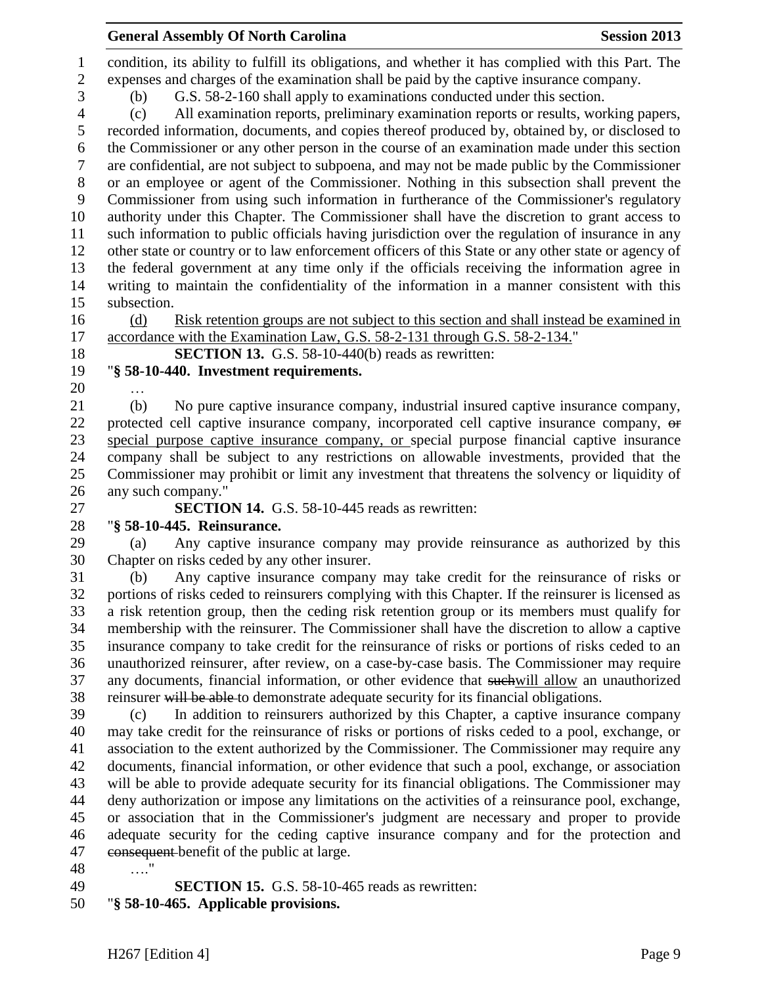condition, its ability to fulfill its obligations, and whether it has complied with this Part. The expenses and charges of the examination shall be paid by the captive insurance company. (b) G.S. 58-2-160 shall apply to examinations conducted under this section. (c) All examination reports, preliminary examination reports or results, working papers, recorded information, documents, and copies thereof produced by, obtained by, or disclosed to the Commissioner or any other person in the course of an examination made under this section are confidential, are not subject to subpoena, and may not be made public by the Commissioner or an employee or agent of the Commissioner. Nothing in this subsection shall prevent the Commissioner from using such information in furtherance of the Commissioner's regulatory authority under this Chapter. The Commissioner shall have the discretion to grant access to such information to public officials having jurisdiction over the regulation of insurance in any other state or country or to law enforcement officers of this State or any other state or agency of the federal government at any time only if the officials receiving the information agree in writing to maintain the confidentiality of the information in a manner consistent with this subsection.

 (d) Risk retention groups are not subject to this section and shall instead be examined in accordance with the Examination Law, G.S. 58-2-131 through G.S. 58-2-134."

**SECTION 13.** G.S. 58-10-440(b) reads as rewritten:

- "**§ 58-10-440. Investment requirements.**
- …

 (b) No pure captive insurance company, industrial insured captive insurance company, 22 protected cell captive insurance company, incorporated cell captive insurance company, or special purpose captive insurance company, or special purpose financial captive insurance company shall be subject to any restrictions on allowable investments, provided that the Commissioner may prohibit or limit any investment that threatens the solvency or liquidity of any such company."

**SECTION 14.** G.S. 58-10-445 reads as rewritten:

## "**§ 58-10-445. Reinsurance.**

 (a) Any captive insurance company may provide reinsurance as authorized by this Chapter on risks ceded by any other insurer.

 (b) Any captive insurance company may take credit for the reinsurance of risks or portions of risks ceded to reinsurers complying with this Chapter. If the reinsurer is licensed as a risk retention group, then the ceding risk retention group or its members must qualify for membership with the reinsurer. The Commissioner shall have the discretion to allow a captive insurance company to take credit for the reinsurance of risks or portions of risks ceded to an unauthorized reinsurer, after review, on a case-by-case basis. The Commissioner may require any documents, financial information, or other evidence that suchwill allow an unauthorized 38 reinsurer will be able to demonstrate adequate security for its financial obligations.

 (c) In addition to reinsurers authorized by this Chapter, a captive insurance company may take credit for the reinsurance of risks or portions of risks ceded to a pool, exchange, or association to the extent authorized by the Commissioner. The Commissioner may require any documents, financial information, or other evidence that such a pool, exchange, or association will be able to provide adequate security for its financial obligations. The Commissioner may deny authorization or impose any limitations on the activities of a reinsurance pool, exchange, or association that in the Commissioner's judgment are necessary and proper to provide adequate security for the ceding captive insurance company and for the protection and consequent benefit of the public at large.

…."

**SECTION 15.** G.S. 58-10-465 reads as rewritten:

"**§ 58-10-465. Applicable provisions.**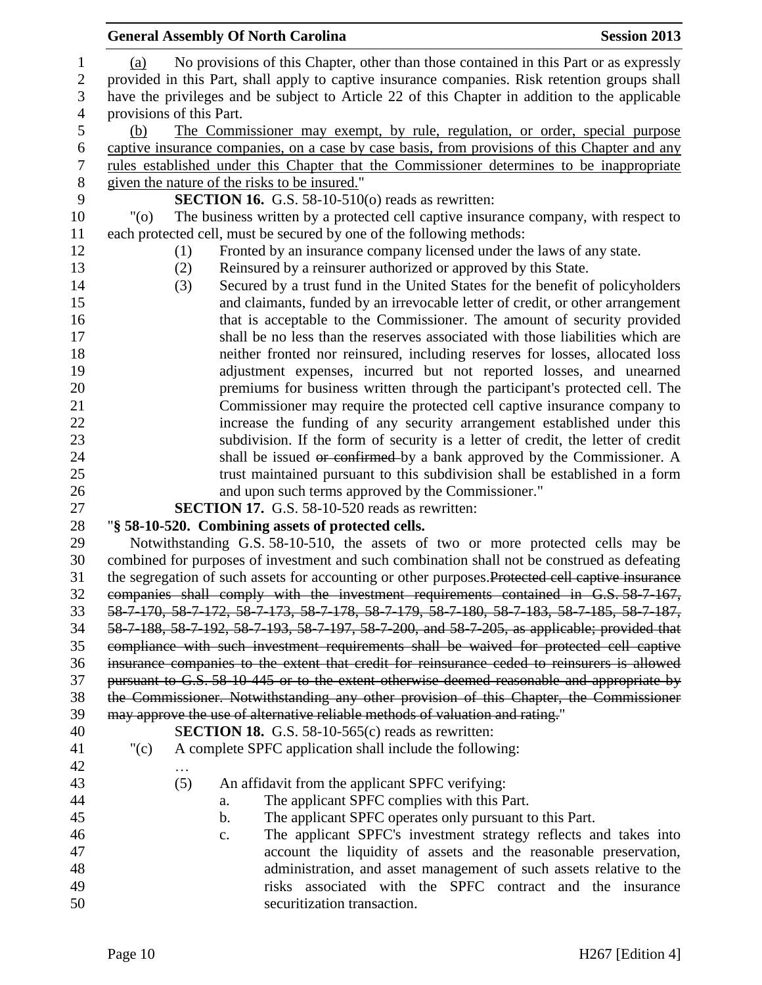|                  | <b>General Assembly Of North Carolina</b><br><b>Session 2013</b>                                  |
|------------------|---------------------------------------------------------------------------------------------------|
| $\mathbf{1}$     | No provisions of this Chapter, other than those contained in this Part or as expressly<br>(a)     |
| $\overline{c}$   | provided in this Part, shall apply to captive insurance companies. Risk retention groups shall    |
| 3                | have the privileges and be subject to Article 22 of this Chapter in addition to the applicable    |
| $\overline{4}$   | provisions of this Part.                                                                          |
| 5                | The Commissioner may exempt, by rule, regulation, or order, special purpose<br>(b)                |
| 6                | captive insurance companies, on a case by case basis, from provisions of this Chapter and any     |
| $\boldsymbol{7}$ | rules established under this Chapter that the Commissioner determines to be inappropriate         |
| $8\phantom{1}$   | given the nature of the risks to be insured."                                                     |
| 9                | <b>SECTION 16.</b> G.S. 58-10-510( $o$ ) reads as rewritten:                                      |
| 10               | The business written by a protected cell captive insurance company, with respect to<br>"(0)       |
| 11               | each protected cell, must be secured by one of the following methods:                             |
| 12               | Fronted by an insurance company licensed under the laws of any state.<br>(1)                      |
| 13               | Reinsured by a reinsurer authorized or approved by this State.                                    |
| 14               | (2)                                                                                               |
|                  | Secured by a trust fund in the United States for the benefit of policyholders<br>(3)              |
| 15               | and claimants, funded by an irrevocable letter of credit, or other arrangement                    |
| 16               | that is acceptable to the Commissioner. The amount of security provided                           |
| 17               | shall be no less than the reserves associated with those liabilities which are                    |
| 18               | neither fronted nor reinsured, including reserves for losses, allocated loss                      |
| 19               | adjustment expenses, incurred but not reported losses, and unearned                               |
| 20               | premiums for business written through the participant's protected cell. The                       |
| 21               | Commissioner may require the protected cell captive insurance company to                          |
| 22               | increase the funding of any security arrangement established under this                           |
| 23               | subdivision. If the form of security is a letter of credit, the letter of credit                  |
| 24               | shall be issued or confirmed by a bank approved by the Commissioner. A                            |
| 25               | trust maintained pursuant to this subdivision shall be established in a form                      |
| 26               | and upon such terms approved by the Commissioner."                                                |
| 27               | <b>SECTION 17.</b> G.S. 58-10-520 reads as rewritten:                                             |
| 28               | "§ 58-10-520. Combining assets of protected cells.                                                |
| 29               | Notwithstanding G.S. 58-10-510, the assets of two or more protected cells may be                  |
| 30               | combined for purposes of investment and such combination shall not be construed as defeating      |
| 31               | the segregation of such assets for accounting or other purposes. Protected cell captive insurance |
| 32               | companies shall comply with the investment requirements contained in G.S. 58-7-167,               |
| 33               | 58-7-170, 58-7-172, 58-7-173, 58-7-178, 58-7-179, 58-7-180, 58-7-183, 58-7-185, 58-7-187,         |
| 34               | 58-7-188, 58-7-192, 58-7-193, 58-7-197, 58-7-200, and 58-7-205, as applicable; provided that      |
| 35               | compliance with such investment requirements shall be waived for protected cell captive           |
| 36               | insurance companies to the extent that credit for reinsurance ceded to reinsurers is allowed      |
| 37               | pursuant to G.S. 58-10-445 or to the extent otherwise deemed reasonable and appropriate by        |
| 38               | the Commissioner. Notwithstanding any other provision of this Chapter, the Commissioner           |
| 39               | may approve the use of alternative reliable methods of valuation and rating."                     |
| 40               | <b>SECTION 18.</b> G.S. 58-10-565 $(c)$ reads as rewritten:                                       |
| 41               | A complete SPFC application shall include the following:<br>" $(c)$                               |
| 42               |                                                                                                   |
| 43               | (5)<br>An affidavit from the applicant SPFC verifying:                                            |
| 44               | The applicant SPFC complies with this Part.<br>a.                                                 |
| 45               | The applicant SPFC operates only pursuant to this Part.<br>b.                                     |
| 46               | The applicant SPFC's investment strategy reflects and takes into<br>c.                            |
| 47               | account the liquidity of assets and the reasonable preservation,                                  |
| 48               | administration, and asset management of such assets relative to the                               |
| 49               | risks associated with the SPFC contract and the insurance                                         |
| 50               | securitization transaction.                                                                       |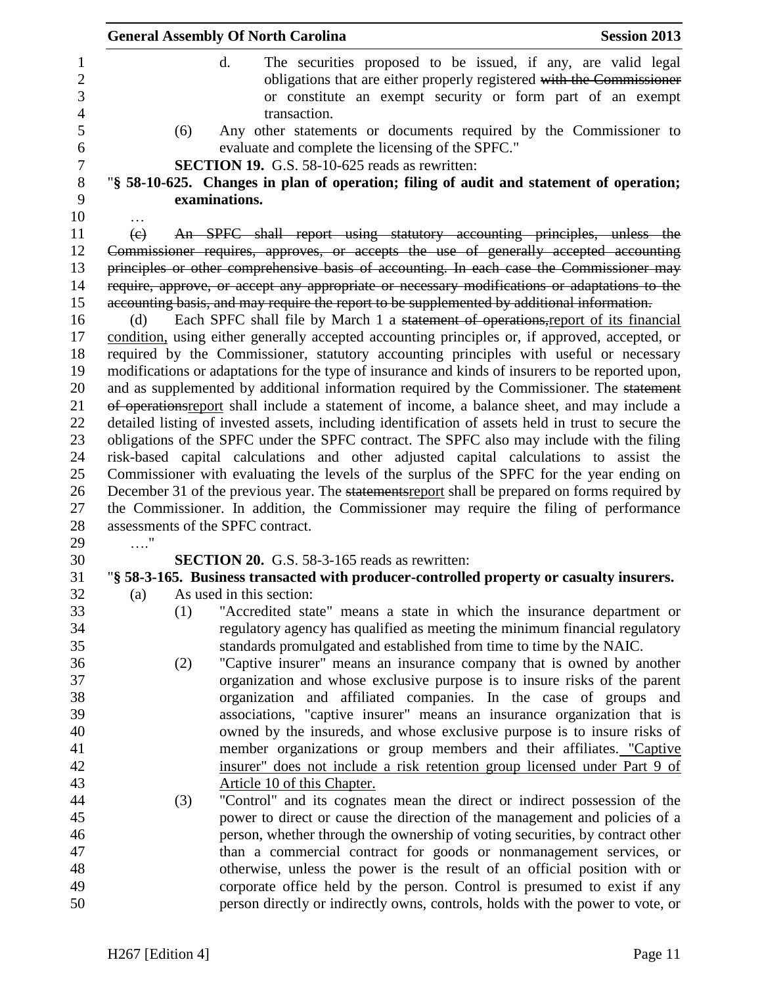|                         | <b>General Assembly Of North Carolina</b>                                                                                                                                                                                              | <b>Session 2013</b> |
|-------------------------|----------------------------------------------------------------------------------------------------------------------------------------------------------------------------------------------------------------------------------------|---------------------|
|                         | $\mathbf{d}$ .<br>The securities proposed to be issued, if any, are valid legal<br>obligations that are either properly registered with the Commissioner<br>or constitute an exempt security or form part of an exempt<br>transaction. |                     |
| (6)                     | Any other statements or documents required by the Commissioner to<br>evaluate and complete the licensing of the SPFC."                                                                                                                 |                     |
|                         | <b>SECTION 19.</b> G.S. 58-10-625 reads as rewritten:                                                                                                                                                                                  |                     |
|                         | "§ 58-10-625. Changes in plan of operation; filing of audit and statement of operation;                                                                                                                                                |                     |
|                         | examinations.                                                                                                                                                                                                                          |                     |
| $\left(\epsilon\right)$ | An SPFC shall report using statutory accounting principles, unless the                                                                                                                                                                 |                     |
|                         | Commissioner requires, approves, or accepts the use of generally accepted accounting                                                                                                                                                   |                     |
|                         | principles or other comprehensive basis of accounting. In each case the Commissioner may                                                                                                                                               |                     |
|                         | require, approve, or accept any appropriate or necessary modifications or adaptations to the                                                                                                                                           |                     |
|                         | accounting basis, and may require the report to be supplemented by additional information.                                                                                                                                             |                     |
| (d)                     | Each SPFC shall file by March 1 a statement of operations, report of its financial                                                                                                                                                     |                     |
|                         | condition, using either generally accepted accounting principles or, if approved, accepted, or                                                                                                                                         |                     |
|                         | required by the Commissioner, statutory accounting principles with useful or necessary                                                                                                                                                 |                     |
|                         | modifications or adaptations for the type of insurance and kinds of insurers to be reported upon,                                                                                                                                      |                     |
|                         | and as supplemented by additional information required by the Commissioner. The statement                                                                                                                                              |                     |
|                         | of operations report shall include a statement of income, a balance sheet, and may include a                                                                                                                                           |                     |
|                         | detailed listing of invested assets, including identification of assets held in trust to secure the                                                                                                                                    |                     |
|                         | obligations of the SPFC under the SPFC contract. The SPFC also may include with the filing                                                                                                                                             |                     |
|                         | risk-based capital calculations and other adjusted capital calculations to assist the                                                                                                                                                  |                     |
|                         | Commissioner with evaluating the levels of the surplus of the SPFC for the year ending on                                                                                                                                              |                     |
|                         | December 31 of the previous year. The statements report shall be prepared on forms required by                                                                                                                                         |                     |
|                         | the Commissioner. In addition, the Commissioner may require the filing of performance                                                                                                                                                  |                     |
|                         | assessments of the SPFC contract.                                                                                                                                                                                                      |                     |
|                         |                                                                                                                                                                                                                                        |                     |
|                         | <b>SECTION 20.</b> G.S. 58-3-165 reads as rewritten:<br>"§ 58-3-165. Business transacted with producer-controlled property or casualty insurers.                                                                                       |                     |
|                         | As used in this section:                                                                                                                                                                                                               |                     |
| (a)<br>(1)              | "Accredited state" means a state in which the insurance department or                                                                                                                                                                  |                     |
|                         | regulatory agency has qualified as meeting the minimum financial regulatory                                                                                                                                                            |                     |
|                         | standards promulgated and established from time to time by the NAIC.                                                                                                                                                                   |                     |
| (2)                     | "Captive insurer" means an insurance company that is owned by another                                                                                                                                                                  |                     |
|                         | organization and whose exclusive purpose is to insure risks of the parent                                                                                                                                                              |                     |
|                         | organization and affiliated companies. In the case of groups and                                                                                                                                                                       |                     |
|                         | associations, "captive insurer" means an insurance organization that is                                                                                                                                                                |                     |
|                         | owned by the insureds, and whose exclusive purpose is to insure risks of                                                                                                                                                               |                     |
|                         | member organizations or group members and their affiliates. "Captive                                                                                                                                                                   |                     |
|                         | insurer" does not include a risk retention group licensed under Part 9 of                                                                                                                                                              |                     |
|                         | Article 10 of this Chapter.                                                                                                                                                                                                            |                     |
| (3)                     | "Control" and its cognates mean the direct or indirect possession of the                                                                                                                                                               |                     |
|                         | power to direct or cause the direction of the management and policies of a                                                                                                                                                             |                     |
|                         | person, whether through the ownership of voting securities, by contract other                                                                                                                                                          |                     |
|                         | than a commercial contract for goods or nonmanagement services, or                                                                                                                                                                     |                     |
|                         | otherwise, unless the power is the result of an official position with or                                                                                                                                                              |                     |
|                         | corporate office held by the person. Control is presumed to exist if any                                                                                                                                                               |                     |
|                         | person directly or indirectly owns, controls, holds with the power to vote, or                                                                                                                                                         |                     |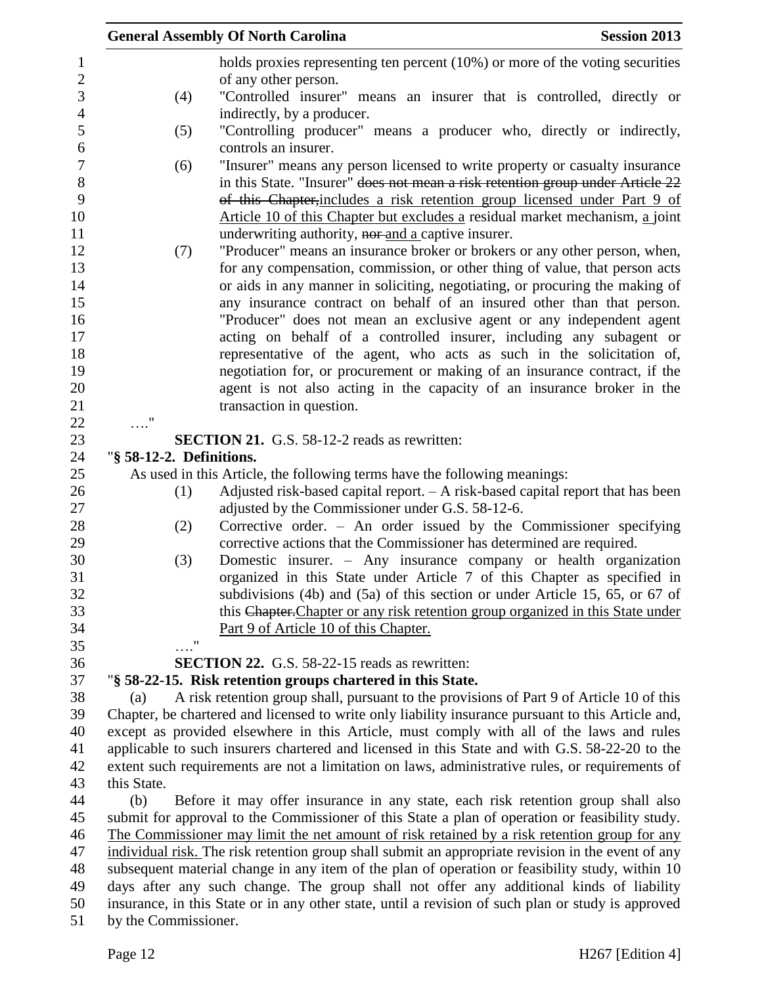|                          | <b>General Assembly Of North Carolina</b>                                                                                                 | <b>Session 2013</b> |
|--------------------------|-------------------------------------------------------------------------------------------------------------------------------------------|---------------------|
|                          | holds proxies representing ten percent (10%) or more of the voting securities                                                             |                     |
|                          | of any other person.                                                                                                                      |                     |
| (4)                      | "Controlled insurer" means an insurer that is controlled, directly or                                                                     |                     |
|                          | indirectly, by a producer.                                                                                                                |                     |
| (5)                      | "Controlling producer" means a producer who, directly or indirectly,                                                                      |                     |
|                          | controls an insurer.                                                                                                                      |                     |
| (6)                      | "Insurer" means any person licensed to write property or casualty insurance                                                               |                     |
|                          | in this State. "Insurer" does not mean a risk retention group under Article 22                                                            |                     |
|                          | of this Chapter, includes a risk retention group licensed under Part 9 of                                                                 |                     |
|                          | Article 10 of this Chapter but excludes a residual market mechanism, a joint                                                              |                     |
|                          | underwriting authority, nor-and a captive insurer.                                                                                        |                     |
| (7)                      | "Producer" means an insurance broker or brokers or any other person, when,                                                                |                     |
|                          | for any compensation, commission, or other thing of value, that person acts                                                               |                     |
|                          | or aids in any manner in soliciting, negotiating, or procuring the making of                                                              |                     |
|                          | any insurance contract on behalf of an insured other than that person.                                                                    |                     |
|                          | "Producer" does not mean an exclusive agent or any independent agent                                                                      |                     |
|                          | acting on behalf of a controlled insurer, including any subagent or                                                                       |                     |
|                          | representative of the agent, who acts as such in the solicitation of,                                                                     |                     |
|                          | negotiation for, or procurement or making of an insurance contract, if the                                                                |                     |
|                          | agent is not also acting in the capacity of an insurance broker in the                                                                    |                     |
|                          | transaction in question.                                                                                                                  |                     |
| $\ldots$ "               |                                                                                                                                           |                     |
|                          | <b>SECTION 21.</b> G.S. 58-12-2 reads as rewritten:                                                                                       |                     |
| "§ 58-12-2. Definitions. |                                                                                                                                           |                     |
|                          | As used in this Article, the following terms have the following meanings:                                                                 |                     |
| (1)                      | Adjusted risk-based capital report. $- A$ risk-based capital report that has been                                                         |                     |
|                          | adjusted by the Commissioner under G.S. 58-12-6.                                                                                          |                     |
| (2)                      | Corrective order. $-$ An order issued by the Commissioner specifying                                                                      |                     |
|                          | corrective actions that the Commissioner has determined are required.<br>Domestic insurer. – Any insurance company or health organization |                     |
| (3)                      | organized in this State under Article 7 of this Chapter as specified in                                                                   |                     |
|                          | subdivisions (4b) and (5a) of this section or under Article 15, 65, or 67 of                                                              |                     |
|                          | this Chapter. Chapter or any risk retention group organized in this State under                                                           |                     |
|                          | Part 9 of Article 10 of this Chapter.                                                                                                     |                     |
|                          | $\pmb{\mathsf{H}}$                                                                                                                        |                     |
|                          | <b>SECTION 22.</b> G.S. 58-22-15 reads as rewritten:                                                                                      |                     |
|                          | "§ 58-22-15. Risk retention groups chartered in this State.                                                                               |                     |
| (a)                      | A risk retention group shall, pursuant to the provisions of Part 9 of Article 10 of this                                                  |                     |
|                          | Chapter, be chartered and licensed to write only liability insurance pursuant to this Article and,                                        |                     |
|                          | except as provided elsewhere in this Article, must comply with all of the laws and rules                                                  |                     |
|                          | applicable to such insurers chartered and licensed in this State and with G.S. 58-22-20 to the                                            |                     |
|                          | extent such requirements are not a limitation on laws, administrative rules, or requirements of                                           |                     |
| this State.              |                                                                                                                                           |                     |
| (b)                      | Before it may offer insurance in any state, each risk retention group shall also                                                          |                     |
|                          | submit for approval to the Commissioner of this State a plan of operation or feasibility study.                                           |                     |
|                          | The Commissioner may limit the net amount of risk retained by a risk retention group for any                                              |                     |
|                          | individual risk. The risk retention group shall submit an appropriate revision in the event of any                                        |                     |
|                          | subsequent material change in any item of the plan of operation or feasibility study, within 10                                           |                     |
|                          | days after any such change. The group shall not offer any additional kinds of liability                                                   |                     |
|                          | insurance, in this State or in any other state, until a revision of such plan or study is approved                                        |                     |
|                          |                                                                                                                                           |                     |

by the Commissioner.